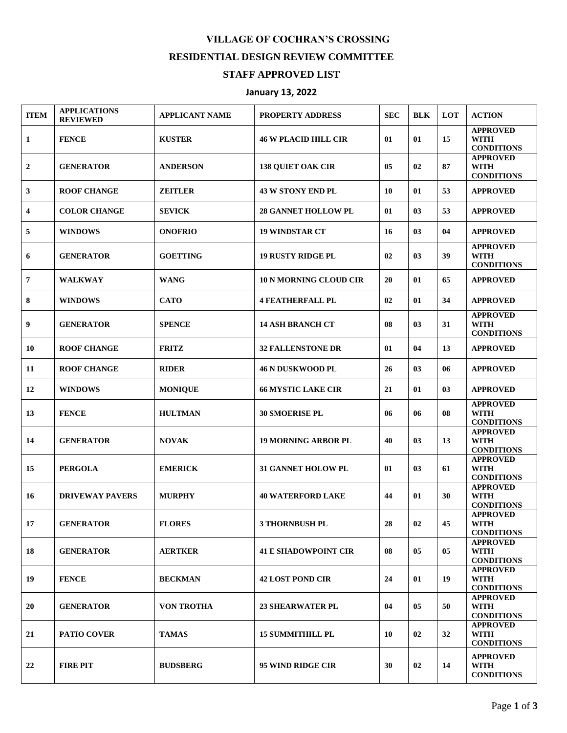## **VILLAGE OF COCHRAN'S CROSSING RESIDENTIAL DESIGN REVIEW COMMITTEE**

## **STAFF APPROVED LIST**

## **January 13, 2022**

| <b>ITEM</b>             | <b>APPLICATIONS</b><br><b>REVIEWED</b> | <b>APPLICANT NAME</b> | PROPERTY ADDRESS              | <b>SEC</b> | <b>BLK</b>     | LOT            | <b>ACTION</b>                                       |
|-------------------------|----------------------------------------|-----------------------|-------------------------------|------------|----------------|----------------|-----------------------------------------------------|
| 1                       | <b>FENCE</b>                           | <b>KUSTER</b>         | <b>46 W PLACID HILL CIR</b>   | 01         | 01             | 15             | <b>APPROVED</b><br><b>WITH</b><br><b>CONDITIONS</b> |
| $\boldsymbol{2}$        | <b>GENERATOR</b>                       | <b>ANDERSON</b>       | <b>138 QUIET OAK CIR</b>      | 05         | 02             | 87             | <b>APPROVED</b><br><b>WITH</b><br><b>CONDITIONS</b> |
| 3                       | <b>ROOF CHANGE</b>                     | <b>ZEITLER</b>        | <b>43 W STONY END PL</b>      | 10         | 01             | 53             | <b>APPROVED</b>                                     |
| $\overline{\mathbf{4}}$ | <b>COLOR CHANGE</b>                    | <b>SEVICK</b>         | <b>28 GANNET HOLLOW PL</b>    | 01         | 03             | 53             | <b>APPROVED</b>                                     |
| 5                       | <b>WINDOWS</b>                         | <b>ONOFRIO</b>        | <b>19 WINDSTAR CT</b>         | 16         | 03             | 04             | <b>APPROVED</b>                                     |
| 6                       | <b>GENERATOR</b>                       | <b>GOETTING</b>       | <b>19 RUSTY RIDGE PL</b>      | 02         | 03             | 39             | <b>APPROVED</b><br><b>WITH</b><br><b>CONDITIONS</b> |
| 7                       | <b>WALKWAY</b>                         | <b>WANG</b>           | <b>10 N MORNING CLOUD CIR</b> | 20         | 01             | 65             | <b>APPROVED</b>                                     |
| 8                       | <b>WINDOWS</b>                         | <b>CATO</b>           | <b>4 FEATHERFALL PL</b>       | 02         | 01             | 34             | <b>APPROVED</b>                                     |
| 9                       | <b>GENERATOR</b>                       | <b>SPENCE</b>         | <b>14 ASH BRANCH CT</b>       | 08         | 0 <sub>3</sub> | 31             | <b>APPROVED</b><br><b>WITH</b><br><b>CONDITIONS</b> |
| 10                      | <b>ROOF CHANGE</b>                     | <b>FRITZ</b>          | <b>32 FALLENSTONE DR</b>      | 01         | 04             | 13             | <b>APPROVED</b>                                     |
| 11                      | <b>ROOF CHANGE</b>                     | <b>RIDER</b>          | <b>46 N DUSKWOOD PL</b>       | 26         | 0 <sub>3</sub> | 06             | <b>APPROVED</b>                                     |
| 12                      | <b>WINDOWS</b>                         | <b>MONIQUE</b>        | <b>66 MYSTIC LAKE CIR</b>     | 21         | 01             | 03             | <b>APPROVED</b>                                     |
| 13                      | <b>FENCE</b>                           | <b>HULTMAN</b>        | <b>30 SMOERISE PL</b>         | 06         | 06             | 08             | <b>APPROVED</b><br><b>WITH</b><br><b>CONDITIONS</b> |
| 14                      | <b>GENERATOR</b>                       | <b>NOVAK</b>          | <b>19 MORNING ARBOR PL</b>    | 40         | 0 <sub>3</sub> | 13             | <b>APPROVED</b><br><b>WITH</b><br><b>CONDITIONS</b> |
| 15                      | <b>PERGOLA</b>                         | <b>EMERICK</b>        | <b>31 GANNET HOLOW PL</b>     | 01         | 0 <sub>3</sub> | 61             | <b>APPROVED</b><br><b>WITH</b><br><b>CONDITIONS</b> |
| 16                      | <b>DRIVEWAY PAVERS</b>                 | <b>MURPHY</b>         | <b>40 WATERFORD LAKE</b>      | 44         | 01             | 30             | <b>APPROVED</b><br><b>WITH</b><br><b>CONDITIONS</b> |
| 17                      | <b>GENERATOR</b>                       | <b>FLORES</b>         | <b>3 THORNBUSH PL</b>         | 28         | 02             | 45             | <b>APPROVED</b><br><b>WITH</b><br><b>CONDITIONS</b> |
| 18                      | <b>GENERATOR</b>                       | <b>AERTKER</b>        | <b>41 E SHADOWPOINT CIR</b>   | 08         | 05             | 0 <sub>5</sub> | <b>APPROVED</b><br>WITH<br><b>CONDITIONS</b>        |
| 19                      | <b>FENCE</b>                           | <b>BECKMAN</b>        | <b>42 LOST POND CIR</b>       | 24         | 01             | 19             | <b>APPROVED</b><br><b>WITH</b><br><b>CONDITIONS</b> |
| 20                      | <b>GENERATOR</b>                       | <b>VON TROTHA</b>     | <b>23 SHEARWATER PL</b>       | 04         | 05             | 50             | <b>APPROVED</b><br><b>WITH</b><br><b>CONDITIONS</b> |
| 21                      | <b>PATIO COVER</b>                     | <b>TAMAS</b>          | <b>15 SUMMITHILL PL</b>       | 10         | 02             | 32             | <b>APPROVED</b><br><b>WITH</b><br><b>CONDITIONS</b> |
| 22                      | <b>FIRE PIT</b>                        | <b>BUDSBERG</b>       | 95 WIND RIDGE CIR             | 30         | 02             | 14             | <b>APPROVED</b><br><b>WITH</b><br><b>CONDITIONS</b> |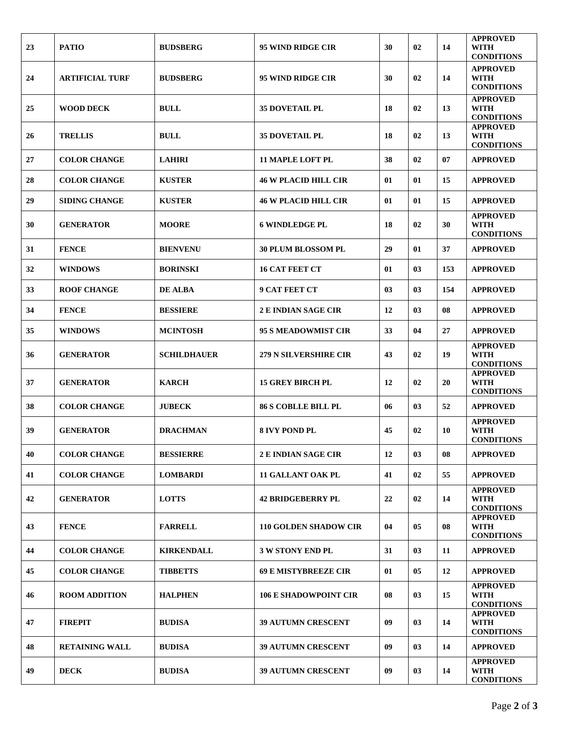| 23 | <b>PATIO</b>           | <b>BUDSBERG</b>    | 95 WIND RIDGE CIR            | 30 | 02             | 14  | <b>APPROVED</b><br><b>WITH</b><br><b>CONDITIONS</b> |
|----|------------------------|--------------------|------------------------------|----|----------------|-----|-----------------------------------------------------|
| 24 | <b>ARTIFICIAL TURF</b> | <b>BUDSBERG</b>    | 95 WIND RIDGE CIR            | 30 | 02             | 14  | <b>APPROVED</b><br><b>WITH</b><br><b>CONDITIONS</b> |
| 25 | <b>WOOD DECK</b>       | <b>BULL</b>        | <b>35 DOVETAIL PL</b>        | 18 | 02             | 13  | <b>APPROVED</b><br><b>WITH</b><br><b>CONDITIONS</b> |
| 26 | <b>TRELLIS</b>         | <b>BULL</b>        | <b>35 DOVETAIL PL</b>        | 18 | 02             | 13  | <b>APPROVED</b><br><b>WITH</b><br><b>CONDITIONS</b> |
| 27 | <b>COLOR CHANGE</b>    | <b>LAHIRI</b>      | <b>11 MAPLE LOFT PL</b>      | 38 | 02             | 07  | <b>APPROVED</b>                                     |
| 28 | <b>COLOR CHANGE</b>    | <b>KUSTER</b>      | <b>46 W PLACID HILL CIR</b>  | 01 | 01             | 15  | <b>APPROVED</b>                                     |
| 29 | <b>SIDING CHANGE</b>   | <b>KUSTER</b>      | <b>46 W PLACID HILL CIR</b>  | 01 | 01             | 15  | <b>APPROVED</b>                                     |
| 30 | <b>GENERATOR</b>       | <b>MOORE</b>       | <b>6 WINDLEDGE PL</b>        | 18 | 02             | 30  | <b>APPROVED</b><br><b>WITH</b><br><b>CONDITIONS</b> |
| 31 | <b>FENCE</b>           | <b>BIENVENU</b>    | <b>30 PLUM BLOSSOM PL</b>    | 29 | 01             | 37  | <b>APPROVED</b>                                     |
| 32 | <b>WINDOWS</b>         | <b>BORINSKI</b>    | <b>16 CAT FEET CT</b>        | 01 | 0 <sub>3</sub> | 153 | <b>APPROVED</b>                                     |
| 33 | <b>ROOF CHANGE</b>     | <b>DE ALBA</b>     | <b>9 CAT FEET CT</b>         | 03 | 03             | 154 | <b>APPROVED</b>                                     |
| 34 | <b>FENCE</b>           | <b>BESSIERE</b>    | <b>2 E INDIAN SAGE CIR</b>   | 12 | 0 <sub>3</sub> | 08  | <b>APPROVED</b>                                     |
| 35 | <b>WINDOWS</b>         | <b>MCINTOSH</b>    | <b>95 S MEADOWMIST CIR</b>   | 33 | 04             | 27  | <b>APPROVED</b>                                     |
| 36 | <b>GENERATOR</b>       | <b>SCHILDHAUER</b> | <b>279 N SILVERSHIRE CIR</b> | 43 | 02             | 19  | <b>APPROVED</b><br><b>WITH</b><br><b>CONDITIONS</b> |
| 37 | <b>GENERATOR</b>       | <b>KARCH</b>       | <b>15 GREY BIRCH PL</b>      | 12 | 02             | 20  | <b>APPROVED</b><br><b>WITH</b><br><b>CONDITIONS</b> |
| 38 | <b>COLOR CHANGE</b>    | <b>JUBECK</b>      | <b>86 S COBLLE BILL PL</b>   | 06 | 03             | 52  | <b>APPROVED</b>                                     |
| 39 | <b>GENERATOR</b>       | <b>DRACHMAN</b>    | 8 IVY POND PL                | 45 | 02             | 10  | <b>APPROVED</b><br><b>WITH</b><br><b>CONDITIONS</b> |
| 40 | <b>COLOR CHANGE</b>    | <b>BESSIERRE</b>   | <b>2 E INDIAN SAGE CIR</b>   | 12 | 03             | 08  | <b>APPROVED</b>                                     |
| 41 | <b>COLOR CHANGE</b>    | <b>LOMBARDI</b>    | <b>11 GALLANT OAK PL</b>     | 41 | 02             | 55  | <b>APPROVED</b>                                     |
| 42 | <b>GENERATOR</b>       | <b>LOTTS</b>       | <b>42 BRIDGEBERRY PL</b>     | 22 | 02             | 14  | <b>APPROVED</b><br><b>WITH</b><br><b>CONDITIONS</b> |
| 43 | <b>FENCE</b>           | <b>FARRELL</b>     | <b>110 GOLDEN SHADOW CIR</b> | 04 | 05             | 08  | <b>APPROVED</b><br><b>WITH</b><br><b>CONDITIONS</b> |
| 44 | <b>COLOR CHANGE</b>    | <b>KIRKENDALL</b>  | <b>3 W STONY END PL</b>      | 31 | 03             | 11  | <b>APPROVED</b>                                     |
| 45 | <b>COLOR CHANGE</b>    | <b>TIBBETTS</b>    | <b>69 E MISTYBREEZE CIR</b>  | 01 | 05             | 12  | <b>APPROVED</b>                                     |
| 46 | <b>ROOM ADDITION</b>   | <b>HALPHEN</b>     | <b>106 E SHADOWPOINT CIR</b> | 08 | 03             | 15  | <b>APPROVED</b><br><b>WITH</b><br><b>CONDITIONS</b> |
| 47 | <b>FIREPIT</b>         | <b>BUDISA</b>      | <b>39 AUTUMN CRESCENT</b>    | 09 | 03             | 14  | <b>APPROVED</b><br><b>WITH</b><br><b>CONDITIONS</b> |
| 48 | <b>RETAINING WALL</b>  | <b>BUDISA</b>      | 39 AUTUMN CRESCENT           | 09 | 03             | 14  | <b>APPROVED</b>                                     |
| 49 | <b>DECK</b>            | <b>BUDISA</b>      | <b>39 AUTUMN CRESCENT</b>    | 09 | 03             | 14  | <b>APPROVED</b><br><b>WITH</b><br><b>CONDITIONS</b> |